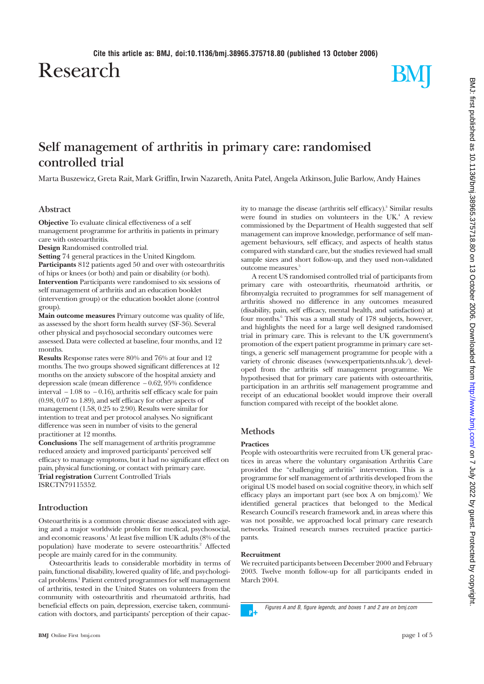Research



# **Self management of arthritis in primary care: randomised controlled trial** Marta Buszewicz, Greta Rait, Mark Griffin, Irwin Nazareth, Anita Patel, Angela Atkinson, Julie Barlow, Andy Haines **Objective** To evaluate clinical effectiveness of a self management programme for arthritis in patients in primary

care with osteoarthritis. **Design** Randomised controlled trial.

**Abstract**

**Setting** 74 general practices in the United Kingdom. **Participants** 812 patients aged 50 and over with osteoarthritis of hips or knees (or both) and pain or disability (or both). **Intervention** Participants were randomised to six sessions of self management of arthritis and an education booklet (intervention group) or the education booklet alone (control group).

**Main outcome measures** Primary outcome was quality of life, as assessed by the short form health survey (SF-36). Several other physical and psychosocial secondary outcomes were assessed. Data were collected at baseline, four months, and 12 months.

**Results** Response rates were 80% and 76% at four and 12 months. The two groups showed significant differences at 12 months on the anxiety subscore of the hospital anxiety and depression scale (mean difference − 0.62, 95% confidence interval − 1.08 to − 0.16), arthritis self efficacy scale for pain (0.98, 0.07 to 1.89), and self efficacy for other aspects of management (1.58, 0.25 to 2.90). Results were similar for intention to treat and per protocol analyses. No significant difference was seen in number of visits to the general practitioner at 12 months.

**Conclusions** The self management of arthritis programme reduced anxiety and improved participants' perceived self efficacy to manage symptoms, but it had no significant effect on pain, physical functioning, or contact with primary care. **Trial registration** Current Controlled Trials ISRCTN79115352.

# **Introduction**

Osteoarthritis is a common chronic disease associated with ageing and a major worldwide problem for medical, psychosocial, and economic reasons.1 At least five million UK adults (8% of the population) have moderate to severe osteoarthritis.<sup>2</sup> Affected people are mainly cared for in the community.

Osteoarthritis leads to considerable morbidity in terms of pain, functional disability, lowered quality of life, and psychological problems.<sup>1</sup> Patient centred programmes for self management of arthritis, tested in the United States on volunteers from the community with osteoarthritis and rheumatoid arthritis, had beneficial effects on pain, depression, exercise taken, communication with doctors, and participants' perception of their capacity to manage the disease (arthritis self efficacy).<sup>3</sup> Similar results were found in studies on volunteers in the  $UK<sup>4</sup>$  A review commissioned by the Department of Health suggested that self management can improve knowledge, performance of self management behaviours, self efficacy, and aspects of health status compared with standard care, but the studies reviewed had small sample sizes and short follow-up, and they used non-validated outcome measures.5

A recent US randomised controlled trial of participants from primary care with osteoarthritis, rheumatoid arthritis, or fibromyalgia recruited to programmes for self management of arthritis showed no difference in any outcomes measured (disability, pain, self efficacy, mental health, and satisfaction) at four months.<sup>6</sup> This was a small study of 178 subjects, however, and highlights the need for a large well designed randomised trial in primary care. This is relevant to the UK government's promotion of the expert patient programme in primary care settings, a generic self management programme for people with a variety of chronic diseases (www.expertpatients.nhs.uk/), developed from the arthritis self management programme. We hypothesised that for primary care patients with osteoarthritis, participation in an arthritis self management programme and receipt of an educational booklet would improve their overall function compared with receipt of the booklet alone.

# **Methods**

# **Practices**

People with osteoarthritis were recruited from UK general practices in areas where the voluntary organisation Arthritis Care provided the "challenging arthritis" intervention. This is a programme for self management of arthritis developed from the original US model based on social cognitive theory, in which self efficacy plays an important part (see box A on bmj.com).<sup>7</sup> We identified general practices that belonged to the Medical Research Council's research framework and, in areas where this was not possible, we approached local primary care research networks. Trained research nurses recruited practice participants.

#### **Recruitment**

We recruited participants between December 2000 and February 2003. Twelve month follow-up for all participants ended in March 2004.



Figures A and B, figure legends, and boxes 1 and 2 are on bmj.com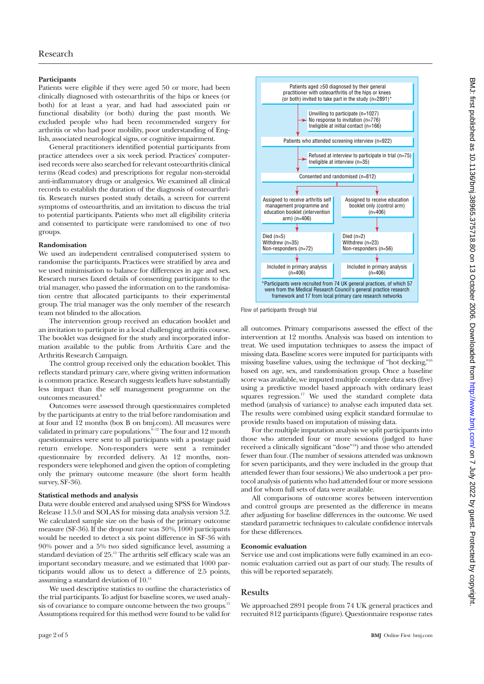### **Participants**

Patients were eligible if they were aged 50 or more, had been clinically diagnosed with osteoarthritis of the hips or knees (or both) for at least a year, and had had associated pain or functional disability (or both) during the past month. We excluded people who had been recommended surgery for arthritis or who had poor mobility, poor understanding of English, associated neurological signs, or cognitive impairment.

General practitioners identified potential participants from practice attendees over a six week period. Practices' computerised records were also searched for relevant osteoarthritis clinical terms (Read codes) and prescriptions for regular non-steroidal anti-inflammatory drugs or analgesics. We examined all clinical records to establish the duration of the diagnosis of osteoarthritis. Research nurses posted study details, a screen for current symptoms of osteoarthritis, and an invitation to discuss the trial to potential participants. Patients who met all eligibility criteria and consented to participate were randomised to one of two groups.

#### **Randomisation**

We used an independent centralised computerised system to randomise the participants. Practices were stratified by area and we used minimisation to balance for differences in age and sex. Research nurses faxed details of consenting participants to the trial manager, who passed the information on to the randomisation centre that allocated participants to their experimental group. The trial manager was the only member of the research team not blinded to the allocation.

The intervention group received an education booklet and an invitation to participate in a local challenging arthritis course. The booklet was designed for the study and incorporated information available to the public from Arthritis Care and the Arthritis Research Campaign.

The control group received only the education booklet. This reflects standard primary care, where giving written information is common practice. Research suggests leaflets have substantially less impact than the self management programme on the outcomes measured.8

Outcomes were assessed through questionnaires completed by the participants at entry to the trial before randomisation and at four and 12 months (box B on bmj.com). All measures were validated in primary care populations.<sup> $9-12$ </sup> The four and 12 month questionnaires were sent to all participants with a postage paid return envelope. Non-responders were sent a reminder questionnaire by recorded delivery. At 12 months, nonresponders were telephoned and given the option of completing only the primary outcome measure (the short form health survey, SF-36).

#### **Statistical methods and analysis**

Data were double entered and analysed using SPSS for Windows Release 11.5.0 and SOLAS for missing data analysis version 3.2. We calculated sample size on the basis of the primary outcome measure (SF-36). If the dropout rate was 30%, 1000 participants would be needed to detect a six point difference in SF-36 with 90% power and a 5% two sided significance level, assuming a standard deviation of 25.<sup>13</sup> The arthritis self efficacy scale was an important secondary measure, and we estimated that 1000 participants would allow us to detect a difference of 2.5 points, assuming a standard deviation of 10.14

We used descriptive statistics to outline the characteristics of the trial participants. To adjust for baseline scores, we used analysis of covariance to compare outcome between the two groups.<sup>15</sup> Assumptions required for this method were found to be valid for



Flow of participants through trial

all outcomes. Primary comparisons assessed the effect of the intervention at 12 months. Analysis was based on intention to treat. We used imputation techniques to assess the impact of missing data. Baseline scores were imputed for participants with missing baseline values, using the technique of "hot decking,"16 based on age, sex, and randomisation group. Once a baseline score was available, we imputed multiple complete data sets (five) using a predictive model based approach with ordinary least squares regression.<sup>17</sup> We used the standard complete data method (analysis of variance) to analyse each imputed data set. The results were combined using explicit standard formulae to provide results based on imputation of missing data.

For the multiple imputation analysis we split participants into those who attended four or more sessions (judged to have received a clinically significant "dose"18) and those who attended fewer than four. (The number of sessions attended was unknown for seven participants, and they were included in the group that attended fewer than four sessions.) We also undertook a per protocol analysis of patients who had attended four or more sessions and for whom full sets of data were available.

All comparisons of outcome scores between intervention and control groups are presented as the difference in means after adjusting for baseline differences in the outcome. We used standard parametric techniques to calculate confidence intervals for these differences.

#### **Economic evaluation**

Service use and cost implications were fully examined in an economic evaluation carried out as part of our study. The results of this will be reported separately.

# **Results**

We approached 2891 people from 74 UK general practices and recruited 812 participants (figure). Questionnaire response rates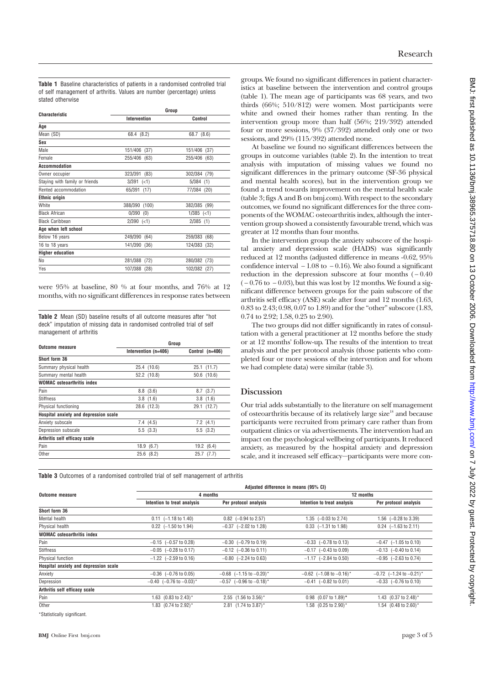**Table 1** Baseline characteristics of patients in a randomised controlled trial of self management of arthritis. Values are number (percentage) unless stated otherwise

| <b>Characteristic</b>          | Group            |                 |  |
|--------------------------------|------------------|-----------------|--|
|                                | Intervention     | Control         |  |
| Aqe                            |                  |                 |  |
| Mean (SD)                      | 68.4 (8.2)       | 68.7 (8.6)      |  |
| Sex                            |                  |                 |  |
| Male                           | 151/406 (37)     | 151/406 (37)    |  |
| Female                         | 255/406 (63)     | 255/406<br>(63) |  |
| Accommodation                  |                  |                 |  |
| Owner occupier                 | 323/391<br>(83)  | 302/384<br>(79) |  |
| Staying with family or friends | 3/391<br>(<1)    | 5/384<br>(1)    |  |
| Rented accommodation           | 65/391<br>(17)   | 77/384<br>(20)  |  |
| <b>Ethnic origin</b>           |                  |                 |  |
| <b>White</b>                   | 388/390<br>(100) | 382/385<br>(99) |  |
| <b>Black African</b>           | 0/390<br>(0)     | $1/385$ (<1)    |  |
| <b>Black Caribbean</b>         | $2/390$ (<1)     | $2/385$ (1)     |  |
| Age when left school           |                  |                 |  |
| Below 16 years                 | 249/390 (64)     | 259/383<br>(68) |  |
| 16 to 18 years                 | 141/390 (36)     | 124/383<br>(32) |  |
| <b>Higher education</b>        |                  |                 |  |
| No                             | 281/388<br>(72)  | 280/382<br>(73) |  |
| Yes                            | 107/388<br>(28)  | 102/382<br>(27) |  |

were 95% at baseline, 80 % at four months, and 76% at 12 months, with no significant differences in response rates between

**Table 2** Mean (SD) baseline results of all outcome measures after "hot deck" imputation of missing data in randomised controlled trial of self management of arthritis

|                                       | Group                |                 |  |
|---------------------------------------|----------------------|-----------------|--|
| <b>Outcome measure</b>                | Intervention (n=406) | Control (n=406) |  |
| Short form 36                         |                      |                 |  |
| Summary physical health               | 25.4 (10.6)          | $25.1$ (11.7)   |  |
| Summary mental health                 | 52.2 (10.8)          | 50.6 (10.6)     |  |
| <b>WOMAC</b> osteoarthritis index     |                      |                 |  |
| Pain                                  | 8.8(3.6)             | 8.7(3.7)        |  |
| <b>Stiffness</b>                      | 3.8(1.6)             | 3.8(1.6)        |  |
| Physical functioning                  | 28.6 (12.3)          | 29.1 (12.7)     |  |
| Hospital anxiety and depression scale |                      |                 |  |
| Anxiety subscale                      | 7.4(4.5)             | 7.2(4.1)        |  |
| Depression subscale                   | 5.5(3.3)             | 5.5(3.2)        |  |
| Arthritis self efficacy scale         |                      |                 |  |
| Pain                                  | 18.9(6.7)            | 19.2(6.4)       |  |
| Other                                 | 25.6(8.2)            | 25.7<br>(7.7)   |  |

groups. We found no significant differences in patient characteristics at baseline between the intervention and control groups (table 1). The mean age of participants was 68 years, and two thirds (66%; 510/812) were women. Most participants were white and owned their homes rather than renting. In the intervention group more than half (56%; 219/392) attended four or more sessions, 9% (37/392) attended only one or two sessions, and 29% (115/392) attended none.

At baseline we found no significant differences between the groups in outcome variables (table 2). In the intention to treat analysis with imputation of missing values we found no significant differences in the primary outcome (SF-36 physical and mental health scores), but in the intervention group we found a trend towards improvement on the mental health scale (table 3; figs A and B on bmj.com). With respect to the secondary outcomes, we found no significant differences for the three components of the WOMAC osteoarthritis index, although the intervention group showed a consistently favourable trend, which was greater at 12 months than four months.

In the intervention group the anxiety subscore of the hospital anxiety and depression scale (HADS) was significantly reduced at 12 months (adjusted difference in means -0.62, 95% confidence interval  $-1.08$  to  $-0.16$ ). We also found a significant reduction in the depression subscore at four months  $(-0.40$  $(-0.76 \text{ to } -0.03)$ , but this was lost by 12 months. We found a significant difference between groups for the pain subscore of the arthritis self efficacy (ASE) scale after four and 12 months (1.63, 0.83 to 2.43; 0.98, 0.07 to 1.89) and for the "other" subscore (1.83, 0.74 to 2.92; 1.58, 0.25 to 2.90).

The two groups did not differ significantly in rates of consultation with a general practitioner at 12 months before the study or at 12 months' follow-up. The results of the intention to treat analysis and the per protocol analysis (those patients who completed four or more sessions of the intervention and for whom we had complete data) were similar (table 3).

# **Discussion**

Our trial adds substantially to the literature on self management of osteoarthritis because of its relatively large size<sup>18</sup> and because participants were recruited from primary care rather than from outpatient clinics or via advertisements. The intervention had an impact on the psychological wellbeing of participants. It reduced anxiety, as measured by the hospital anxiety and depression scale, and it increased self efficacy—participants were more con-

**Table 3** Outcomes of a randomised controlled trial of self management of arthritis

|                                       | Adjusted difference in means (95% CI)    |                                          |                                       |                                    |
|---------------------------------------|------------------------------------------|------------------------------------------|---------------------------------------|------------------------------------|
| <b>Outcome measure</b>                | 4 months                                 |                                          | 12 months                             |                                    |
|                                       | Intention to treat analysis              | Per protocol analysis                    | Intention to treat analysis           | Per protocol analysis              |
| Short form 36                         |                                          |                                          |                                       |                                    |
| Mental health                         | $0.11$ $(-1.18 \text{ to } 1.40)$        | $0.82$ (-0.94 to 2.57)                   | 1.35 $(-0.03 \text{ to } 2.74)$       | 1.56 $(-0.28 \text{ to } 3.39)$    |
| Physical health                       | $0.22$ (-1.50 to 1.94)                   | $-0.37$ $(-2.02 \text{ to } 1.28)$       | $0.33$ $(-1.31$ to $1.98)$            | $0.24$ (-1.63 to 2.11)             |
| <b>WOMAC</b> osteoarthritis index     |                                          |                                          |                                       |                                    |
| Pain                                  | $-0.15$ $(-0.57$ to 0.28)                | $-0.30$ $(-0.79$ to 0.19)                | $-0.33$ $(-0.78$ to 0.13)             | $-0.47$ $(-1.05$ to 0.10)          |
| <b>Stiffness</b>                      | $-0.05$ $(-0.28 \text{ to } 0.17)$       | $-0.12$ $(-0.36 \text{ to } 0.11)$       | $-0.17$ $(-0.43 \text{ to } 0.09)$    | $-0.13$ $(-0.40 \text{ to } 0.14)$ |
| Physical function                     | $-1.22$ $(-2.59$ to 0.16)                | $-0.80$ $(-2.24 \text{ to } 0.63)$       | $-1.17$ $(-2.84$ to 0.50)             | $-0.95$ $(-2.63 \text{ to } 0.74)$ |
| Hospital anxiety and depression scale |                                          |                                          |                                       |                                    |
| Anxiety                               | $-0.36$ $(-0.76$ to 0.05)                | $-0.68$ (-1.15 to $-0.20$ )*             | $-0.62$ (-1.08 to -0.16) <sup>*</sup> | $-0.72$ (-1.24 to $-0.21$ )*       |
| Depression                            | $-0.40$ $(-0.76$ to $-0.03$ <sup>*</sup> | $-0.57$ $(-0.96$ to $-0.18$ <sup>*</sup> | $-0.41$ $(-0.82$ to 0.01)             | $-0.33$ $(-0.76$ to 0.10)          |
| Arthritis self efficacy scale         |                                          |                                          |                                       |                                    |
| Pain                                  | 1.63 $(0.83 \text{ to } 2.43)^*$         | 2.55 (1.56 to 3.56)*                     | $0.98$ (0.07 to 1.89)*                | 1.43 $(0.37 \text{ to } 2.48)^*$   |
| Other                                 | 1.83 (0.74 to 2.92)*                     | 2.81 (1.74 to 3.87)*                     | 1.58 (0.25 to 2.90)*                  | 1.54 $(0.48 \text{ to } 2.60)^*$   |

\*Statistically significant.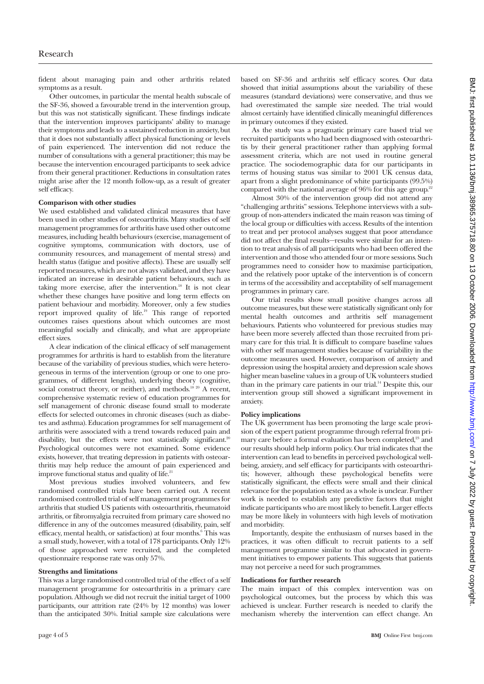fident about managing pain and other arthritis related symptoms as a result.

Other outcomes, in particular the mental health subscale of the SF-36, showed a favourable trend in the intervention group, but this was not statistically significant. These findings indicate that the intervention improves participants' ability to manage their symptoms and leads to a sustained reduction in anxiety, but that it does not substantially affect physical functioning or levels of pain experienced. The intervention did not reduce the number of consultations with a general practitioner; this may be because the intervention encouraged participants to seek advice from their general practitioner. Reductions in consultation rates might arise after the 12 month follow-up, as a result of greater self efficacy.

### **Comparison with other studies**

We used established and validated clinical measures that have been used in other studies of osteoarthritis. Many studies of self management programmes for arthritis have used other outcome measures, including health behaviours (exercise, management of cognitive symptoms, communication with doctors, use of community resources, and management of mental stress) and health status (fatigue and positive affects). These are usually self reported measures, which are not always validated, and they have indicated an increase in desirable patient behaviours, such as taking more exercise, after the intervention.<sup>18</sup> It is not clear whether these changes have positive and long term effects on patient behaviour and morbidity. Moreover, only a few studies report improved quality of life.19 This range of reported outcomes raises questions about which outcomes are most meaningful socially and clinically, and what are appropriate effect sizes.

A clear indication of the clinical efficacy of self management programmes for arthritis is hard to establish from the literature because of the variability of previous studies, which were heterogeneous in terms of the intervention (group or one to one programmes, of different lengths), underlying theory (cognitive, social construct theory, or neither), and methods.<sup>18 20</sup> A recent, comprehensive systematic review of education programmes for self management of chronic disease found small to moderate effects for selected outcomes in chronic diseases (such as diabetes and asthma). Education programmes for self management of arthritis were associated with a trend towards reduced pain and disability, but the effects were not statistically significant.<sup>20</sup> Psychological outcomes were not examined. Some evidence exists, however, that treating depression in patients with osteoarthritis may help reduce the amount of pain experienced and improve functional status and quality of life.<sup>21</sup>

Most previous studies involved volunteers, and few randomised controlled trials have been carried out. A recent randomised controlled trial of self management programmes for arthritis that studied US patients with osteoarthritis, rheumatoid arthritis, or fibromyalgia recruited from primary care showed no difference in any of the outcomes measured (disability, pain, self efficacy, mental health, or satisfaction) at four months.<sup>6</sup> This was a small study, however, with a total of 178 participants. Only 12% of those approached were recruited, and the completed questionnaire response rate was only 57%.

#### **Strengths and limitations**

This was a large randomised controlled trial of the effect of a self management programme for osteoarthritis in a primary care population. Although we did not recruit the initial target of 1000 participants, our attrition rate (24% by 12 months) was lower than the anticipated 30%. Initial sample size calculations were

based on SF-36 and arthritis self efficacy scores. Our data showed that initial assumptions about the variability of these measures (standard deviations) were conservative, and thus we had overestimated the sample size needed. The trial would almost certainly have identified clinically meaningful differences in primary outcomes if they existed.

As the study was a pragmatic primary care based trial we recruited participants who had been diagnosed with osteoarthritis by their general practitioner rather than applying formal assessment criteria, which are not used in routine general practice. The sociodemographic data for our participants in terms of housing status was similar to 2001 UK census data, apart from a slight predominance of white participants (99.5%) compared with the national average of  $96\%$  for this age group.<sup>22</sup>

Almost 30% of the intervention group did not attend any "challenging arthritis" sessions. Telephone interviews with a subgroup of non-attenders indicated the main reason was timing of the local group or difficulties with access. Results of the intention to treat and per protocol analyses suggest that poor attendance did not affect the final results—results were similar for an intention to treat analysis of all participants who had been offered the intervention and those who attended four or more sessions. Such programmes need to consider how to maximise participation, and the relatively poor uptake of the intervention is of concern in terms of the accessibility and acceptability of self management programmes in primary care.

Our trial results show small positive changes across all outcome measures, but these were statistically significant only for mental health outcomes and arthritis self management behaviours. Patients who volunteered for previous studies may have been more severely affected than those recruited from primary care for this trial. It is difficult to compare baseline values with other self management studies because of variability in the outcome measures used. However, comparison of anxiety and depression using the hospital anxiety and depression scale shows higher mean baseline values in a group of UK volunteers studied than in the primary care patients in our trial.14 Despite this, our intervention group still showed a significant improvement in anxiety.

# **Policy implications**

The UK government has been promoting the large scale provision of the expert patient programme through referral from primary care before a formal evaluation has been completed,<sup>23</sup> and our results should help inform policy. Our trial indicates that the intervention can lead to benefits in perceived psychological wellbeing, anxiety, and self efficacy for participants with osteoarthritis; however, although these psychological benefits were statistically significant, the effects were small and their clinical relevance for the population tested as a whole is unclear. Further work is needed to establish any predictive factors that might indicate participants who are most likely to benefit. Larger effects may be more likely in volunteers with high levels of motivation and morbidity.

Importantly, despite the enthusiasm of nurses based in the practices, it was often difficult to recruit patients to a self management programme similar to that advocated in government initiatives to empower patients. This suggests that patients may not perceive a need for such programmes.

# **Indications for further research**

The main impact of this complex intervention was on psychological outcomes, but the process by which this was achieved is unclear. Further research is needed to clarify the mechanism whereby the intervention can effect change. An